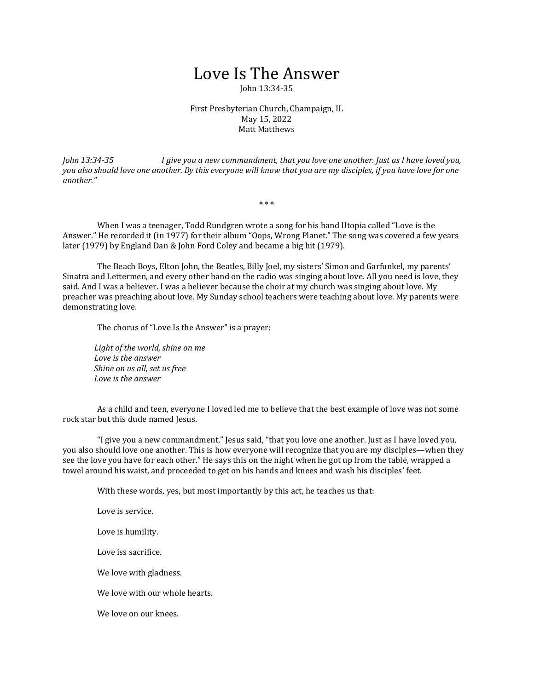## Love Is The Answer

John 13:34-35

First Presbyterian Church, Champaign, IL May 15, 2022 Matt Matthews

*John 13:34-35 I give you a new commandment, that you love one another. Just as I have loved you, you also should love one another. By this everyone will know that you are my disciples, if you have love for one another."*

\* \* \*

 When I was a teenager, Todd Rundgren wrote a song for his band Utopia called "Love is the Answer." He recorded it (in 1977) for their album "Oops, Wrong Planet." The song was covered a few years later (1979) by England Dan & John Ford Coley and became a big hit (1979).

 The Beach Boys, Elton John, the Beatles, Billy Joel, my sisters' Simon and Garfunkel, my parents' Sinatra and Lettermen, and every other band on the radio was singing about love. All you need is love, they said. And I was a believer. I was a believer because the choir at my church was singing about love. My preacher was preaching about love. My Sunday school teachers were teaching about love. My parents were demonstrating love.

The chorus of "Love Is the Answer" is a prayer:

*Light of the world, shine on me Love is the answer Shine on us all, set us free Love is the answer*

 As a child and teen, everyone I loved led me to believe that the best example of love was not some rock star but this dude named Jesus.

 "I give you a new commandment," Jesus said, "that you love one another. Just as I have loved you, you also should love one another. This is how everyone will recognize that you are my disciples—when they see the love you have for each other." He says this on the night when he got up from the table, wrapped a towel around his waist, and proceeded to get on his hands and knees and wash his disciples' feet.

With these words, yes, but most importantly by this act, he teaches us that:

Love is service.

Love is humility.

Love iss sacrifice.

We love with gladness.

We love with our whole hearts.

We love on our knees.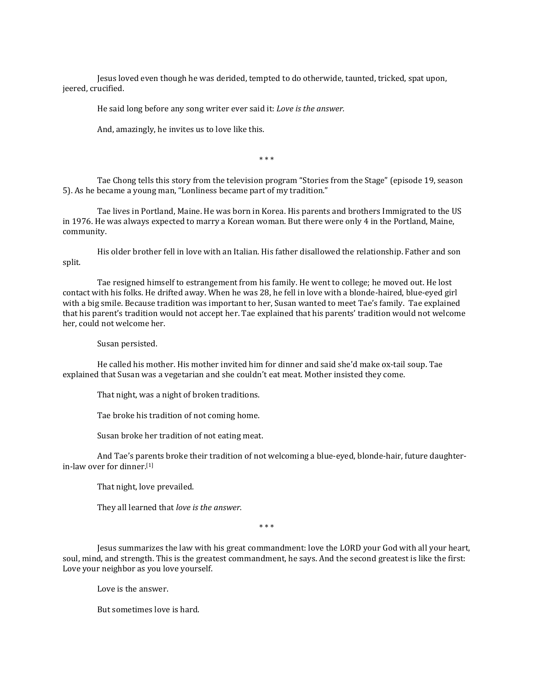Jesus loved even though he was derided, tempted to do otherwide, taunted, tricked, spat upon, jeered, crucified.

He said long before any song writer ever said it: *Love is the answer.*

And, amazingly, he invites us to love like this.

\* \* \*

 Tae Chong tells this story from the television program "Stories from the Stage" (episode 19, season 5). As he became a young man, "Lonliness became part of my tradition."

 Tae lives in Portland, Maine. He was born in Korea. His parents and brothers Immigrated to the US in 1976. He was always expected to marry a Korean woman. But there were only 4 in the Portland, Maine, community.

 His older brother fell in love with an Italian. His father disallowed the relationship. Father and son split.

 Tae resigned himself to estrangement from his family. He went to college; he moved out. He lost contact with his folks. He drifted away. When he was 28, he fell in love with a blonde-haired, blue-eyed girl with a big smile. Because tradition was important to her, Susan wanted to meet Tae's family. Tae explained that his parent's tradition would not accept her. Tae explained that his parents' tradition would not welcome her, could not welcome her.

Susan persisted.

 He called his mother. His mother invited him for dinner and said she'd make ox-tail soup. Tae explained that Susan was a vegetarian and she couldn't eat meat. Mother insisted they come.

That night, was a night of broken traditions.

Tae broke his tradition of not coming home.

Susan broke her tradition of not eating meat.

 And Tae's parents broke their tradition of not welcoming a blue-eyed, blonde-hair, future daughterin-law over for dinner.[1]

That night, love prevailed.

They all learned that *love is the answer.*

\* \* \*

 Jesus summarizes the law with his great commandment: love the LORD your God with all your heart, soul, mind, and strength. This is the greatest commandment, he says. And the second greatest is like the first: Love your neighbor as you love yourself.

Love is the answer.

But sometimes love is hard.